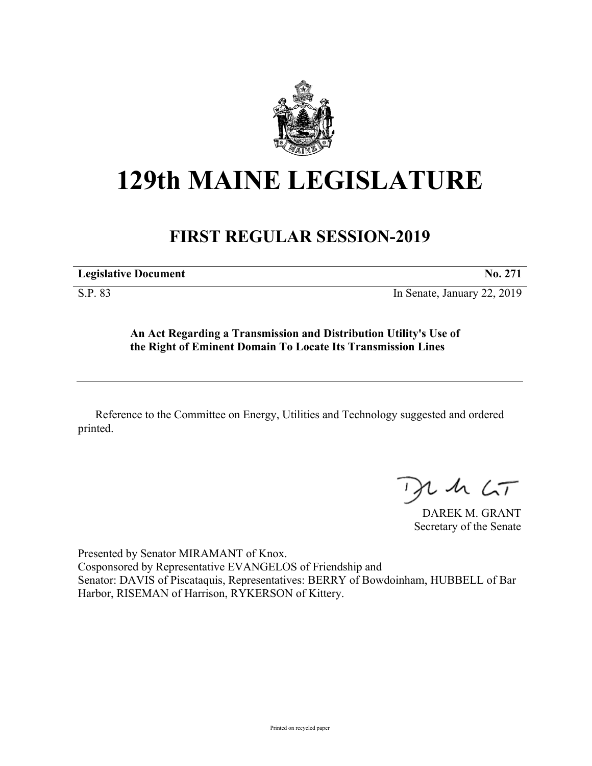

## **129th MAINE LEGISLATURE**

## **FIRST REGULAR SESSION-2019**

**Legislative Document No. 271**

S.P. 83 In Senate, January 22, 2019

**An Act Regarding a Transmission and Distribution Utility's Use of the Right of Eminent Domain To Locate Its Transmission Lines**

Reference to the Committee on Energy, Utilities and Technology suggested and ordered printed.

 $125$ 

DAREK M. GRANT Secretary of the Senate

Presented by Senator MIRAMANT of Knox. Cosponsored by Representative EVANGELOS of Friendship and Senator: DAVIS of Piscataquis, Representatives: BERRY of Bowdoinham, HUBBELL of Bar Harbor, RISEMAN of Harrison, RYKERSON of Kittery.